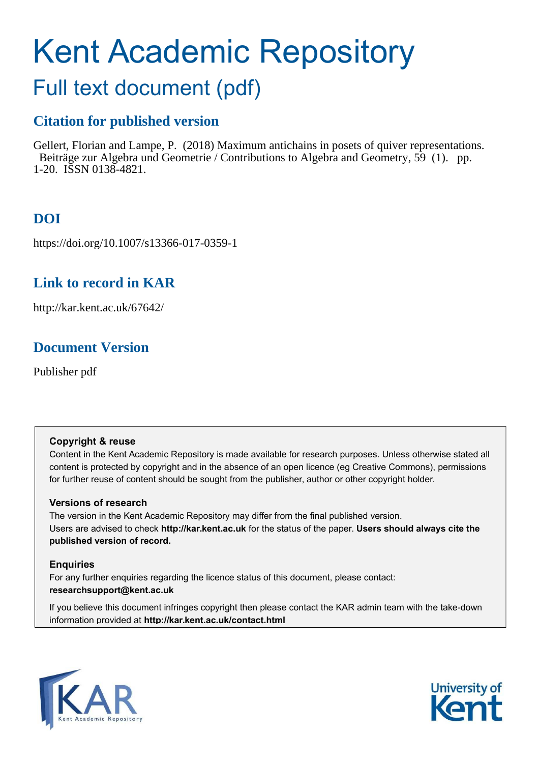# Kent Academic Repository

# Full text document (pdf)

# **Citation for published version**

Gellert, Florian and Lampe, P. (2018) Maximum antichains in posets of quiver representations. Beiträge zur Algebra und Geometrie / Contributions to Algebra and Geometry, 59 (1). pp. 1-20. ISSN 0138-4821.

# **DOI**

https://doi.org/10.1007/s13366-017-0359-1

## **Link to record in KAR**

http://kar.kent.ac.uk/67642/

# **Document Version**

Publisher pdf

## **Copyright & reuse**

Content in the Kent Academic Repository is made available for research purposes. Unless otherwise stated all content is protected by copyright and in the absence of an open licence (eg Creative Commons), permissions for further reuse of content should be sought from the publisher, author or other copyright holder.

## **Versions of research**

The version in the Kent Academic Repository may differ from the final published version. Users are advised to check **http://kar.kent.ac.uk** for the status of the paper. **Users should always cite the published version of record.**

## **Enquiries**

For any further enquiries regarding the licence status of this document, please contact: **researchsupport@kent.ac.uk**

If you believe this document infringes copyright then please contact the KAR admin team with the take-down information provided at **http://kar.kent.ac.uk/contact.html**



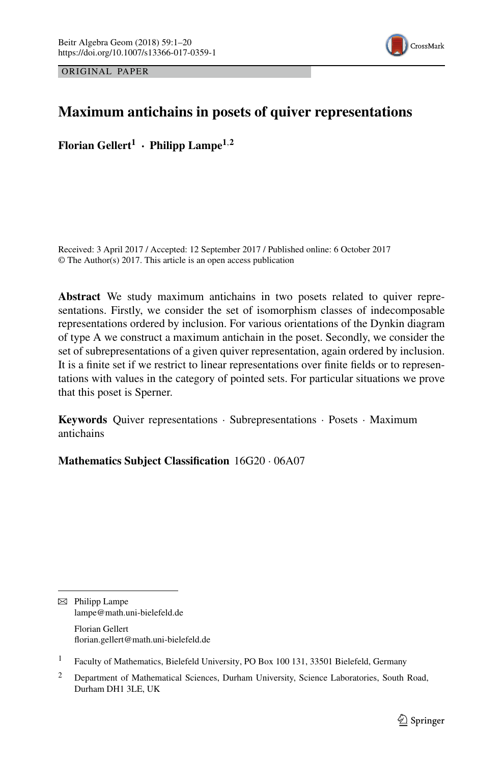

ORIGINAL PAPER

## **Maximum antichains in posets of quiver representations**

**Florian Gellert<sup>1</sup>** · **Philipp Lampe1**,**<sup>2</sup>**

Received: 3 April 2017 / Accepted: 12 September 2017 / Published online: 6 October 2017 © The Author(s) 2017. This article is an open access publication

**Abstract** We study maximum antichains in two posets related to quiver representations. Firstly, we consider the set of isomorphism classes of indecomposable representations ordered by inclusion. For various orientations of the Dynkin diagram of type A we construct a maximum antichain in the poset. Secondly, we consider the set of subrepresentations of a given quiver representation, again ordered by inclusion. It is a finite set if we restrict to linear representations over finite fields or to representations with values in the category of pointed sets. For particular situations we prove that this poset is Sperner.

**Keywords** Quiver representations · Subrepresentations · Posets · Maximum antichains

**Mathematics Subject Classification** 16G20 · 06A07

 $\boxtimes$  Philipp Lampe lampe@math.uni-bielefeld.de Florian Gellert florian.gellert@math.uni-bielefeld.de

<sup>1</sup> Faculty of Mathematics, Bielefeld University, PO Box 100 131, 33501 Bielefeld, Germany

<span id="page-1-0"></span><sup>&</sup>lt;sup>2</sup> Department of Mathematical Sciences, Durham University, Science Laboratories, South Road, Durham DH1 3LE, UK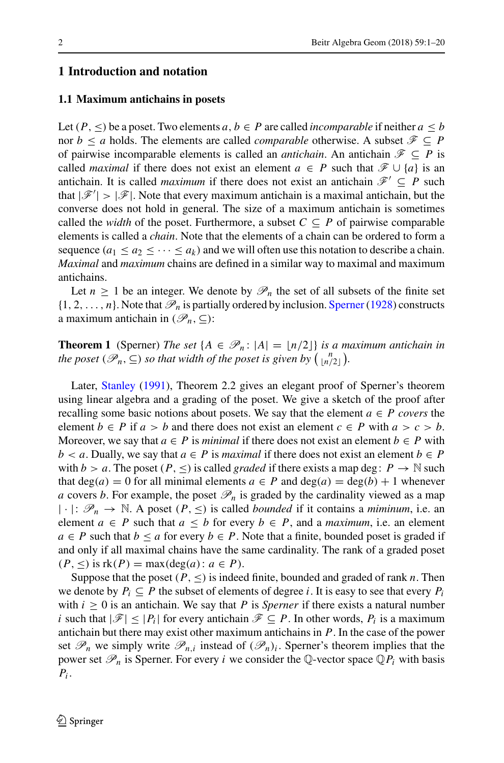#### **1 Introduction and notation**

#### **1.1 Maximum antichains in posets**

<span id="page-2-0"></span>Let  $(P, \leq)$  be a poset. Two elements  $a, b \in P$  are called *incomparable* if neither  $a \leq b$ nor *b*  $\le a$  holds. The elements are called *comparable* otherwise. A subset  $\mathcal{F} \subseteq P$ of pairwise incomparable elements is called an *antichain*. An antichain  $\mathscr{F} \subset P$  is called *maximal* if there does not exist an element  $a \in P$  such that  $\mathcal{F} \cup \{a\}$  is an antichain. It is called *maximum* if there does not exist an antichain  $\mathscr{F}' \subseteq P$  such that  $|\mathcal{F}'| > |\mathcal{F}|$ . Note that every maximum antichain is a maximal antichain, but the converse does not hold in general. The size of a maximum antichain is sometimes called the *width* of the poset. Furthermore, a subset  $C \subseteq P$  of pairwise comparable elements is called a *chain*. Note that the elements of a chain can be ordered to form a sequence  $(a_1 \le a_2 \le \cdots \le a_k)$  and we will often use this notation to describe a chain. *Maximal* and *maximum* chains are defined in a similar way to maximal and maximum antichains.

Let  $n \geq 1$  be an integer. We denote by  $\mathcal{P}_n$  the set of all subsets of the finite set  $\{1, 2, \ldots, n\}$ . Note that  $\mathcal{P}_n$  is partially ordered by inclusion. Sperner (1928) constructs a maximum antichain in  $(\mathscr{P}_n, \subseteq)$ :

**Theorem 1** (Sperner) *The set*  $\{A \in \mathcal{P}_n : |A| = \lfloor n/2 \rfloor\}$  *is a maximum antichain in the poset* ( $\mathscr{P}_n$ ,  $\subseteq$ ) *so that width of the poset is given by*  $\binom{n}{\lfloor n/2 \rfloor}$ .

Later, [Stanley](#page-18-1) [\(1991\)](#page-18-1), Theorem 2.2 gives an elegant proof of Sperner's theorem using linear algebra and a grading of the poset. We give a sketch of the proof after recalling some basic notions about posets. We say that the element  $a \in P$  covers the element *b*  $\in$  *P* if *a* > *b* and there does not exist an element *c*  $\in$  *P* with *a* > *c* > *b*. Moreover, we say that  $a \in P$  is *minimal* if there does not exist an element  $b \in P$  with *b* < *a*. Dually, we say that  $a \in P$  is *maximal* if there does not exist an element  $b \in P$ with  $b > a$ . The poset  $(P, \leq)$  is called *graded* if there exists a map deg:  $P \to \mathbb{N}$  such that  $deg(a) = 0$  for all minimal elements  $a \in P$  and  $deg(a) = deg(b) + 1$  whenever *a* covers *b*. For example, the poset  $\mathcal{P}_n$  is graded by the cardinality viewed as a map  $|\cdot|: \mathcal{P}_n \to \mathbb{N}$ . A poset  $(P, \leq)$  is called *bounded* if it contains a *miminum*, i.e. an element  $a \in P$  such that  $a \leq b$  for every  $b \in P$ , and a *maximum*, i.e. an element  $a \in P$  such that  $b \le a$  for every  $b \in P$ . Note that a finite, bounded poset is graded if and only if all maximal chains have the same cardinality. The rank of a graded poset  $(P, \leq)$  is  $rk(P) = max(deg(a): a \in P$ .

Suppose that the poset  $(P, \leq)$  is indeed finite, bounded and graded of rank *n*. Then we denote by  $P_i \subseteq P$  the subset of elements of degree *i*. It is easy to see that every  $P_i$ with  $i \geq 0$  is an antichain. We say that *P* is *Sperner* if there exists a natural number *i* such that  $|\mathcal{F}| \leq |P_i|$  for every antichain  $\mathcal{F} \subseteq P$ . In other words,  $P_i$  is a maximum antichain but there may exist other maximum antichains in *P*. In the case of the power set  $\mathcal{P}_n$  we simply write  $\mathcal{P}_{n,i}$  instead of  $(\mathcal{P}_n)_i$ . Sperner's theorem implies that the power set  $\mathcal{P}_n$  is Sperner. For every *i* we consider the Q-vector space  $\mathbb{Q}P_i$  with basis *Pi* .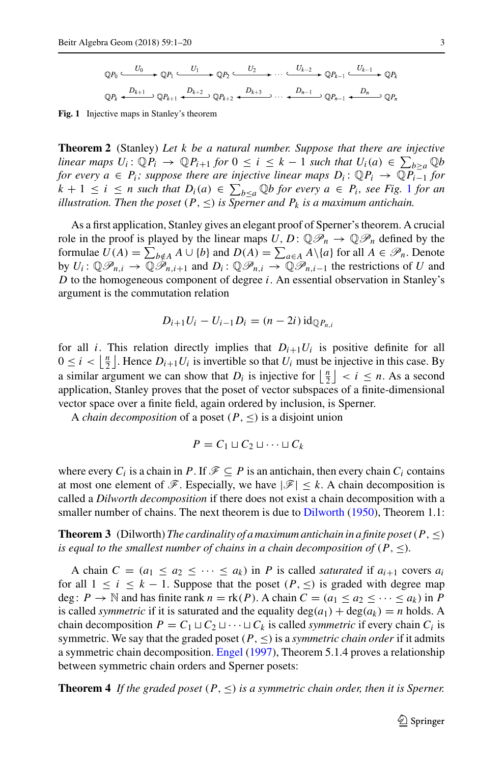$$
\begin{aligned}\n\mathbb{Q}P_0 &\xrightarrow{U_0} \mathbb{Q}P_1 \xrightarrow{U_1} \mathbb{Q}P_2 \xrightarrow{U_2} \cdots \xrightarrow{U_{k-2}} \mathbb{Q}P_{k-1} \xrightarrow{U_{k-1}} \mathbb{Q}P_k \\
\mathbb{Q}P_k &\xrightarrow{D_{k+1}} \mathbb{Q}P_{k+1} \xrightarrow{D_{k+2}} \mathbb{Q}P_{k+2} \xrightarrow{D_{k+3}} \cdots \xrightarrow{D_{n-1}} \mathbb{Q}P_{n-1} \xrightarrow{D_n} \mathbb{Q}P_n\n\end{aligned}
$$

**Fig. 1** Injective maps in Stanley's theorem

**Theorem 2** (Stanley) *Let k be a natural number. Suppose that there are injective linear maps*  $U_i: \mathbb{Q}P_i \to \mathbb{Q}P_{i+1}$  *for*  $0 \leq i \leq k-1$  *such that*  $U_i(a) \in \sum_{b \geq a} \mathbb{Q}b$ *for every a*  $\in$  *P*<sub>*i*</sub>; suppose there are injective linear maps  $D_i$ :  $\mathbb{Q}P_i \to \mathbb{Q}P_{i-1}$  for  $k + 1 \leq i \leq n$  $k + 1 \leq i \leq n$  $k + 1 \leq i \leq n$  such that  $D_i(a) \in \sum_{b \leq a} \mathbb{Q}b$  for every  $a \in P_i$ , see Fig. 1 for an *illustration. Then the poset*  $(P, \leq)$  *is Sperner and P<sub>k</sub> <i>is a maximum antichain.* 

<span id="page-3-1"></span>As a first application, Stanley gives an elegant proof of Sperner's theorem. A crucial role in the proof is played by the linear maps  $U, D: \mathbb{Q} \mathcal{P}_n \to \mathbb{Q} \mathcal{P}_n$  defined by the formulae  $U(A) = \sum_{b \notin A} A \cup \{b\}$  and  $D(A) = \sum_{a \in A} A \setminus \{a\}$  for all  $A \in \mathcal{P}_n$ . Denote by  $U_i: \mathbb{Q}\mathscr{P}_{n,i} \to \mathbb{Q}\overline{\mathscr{P}_{n,i+1}}$  and  $D_i: \mathbb{Q}\mathscr{P}_{n,i} \to \overline{\mathbb{Q}\mathscr{P}_{n,i-1}}$  the restrictions of *U* and *D* to the homogeneous component of degree *i*. An essential observation in Stanley's argument is the commutation relation

$$
D_{i+1}U_i-U_{i-1}D_i=(n-2i)\operatorname{id}_{\mathbb{Q}P_{n,i}}
$$

for all *i*. This relation directly implies that  $D_{i+1}U_i$  is positive definite for all  $0 \leq i < \left\lfloor \frac{n}{2} \right\rfloor$ . Hence  $D_{i+1}U_i$  is invertible so that  $U_i$  must be injective in this case. By a similar argument we can show that *D<sub>i</sub>* is injective for  $\left\lfloor \frac{n}{2} \right\rfloor < i \leq n$ . As a second application, Stanley proves that the poset of vector subspaces of a finite-dimensional vector space over a finite field, again ordered by inclusion, is Sperner.

<span id="page-3-0"></span>A *chain decomposition* of a poset  $(P, \leq)$  is a disjoint union

$$
P = C_1 \sqcup C_2 \sqcup \cdots \sqcup C_k
$$

where every  $C_i$  is a chain in  $P$ . If  $\mathcal{F} \subseteq P$  is an antichain, then every chain  $C_i$  contains at most one element of  $\mathscr{F}$ . Especially, we have  $|\mathscr{F}| \leq k$ . A chain decomposition is called a *Dilworth decomposition* if there does not exist a chain decomposition with a smaller number of chains. The next theorem is due to [Dilworth](#page-18-2) [\(1950](#page-18-2)), Theorem 1.1:

**Theorem 3** (Dilworth) *The cardinality of a maximum antichain in a finite poset* ( $P,$  <) *is equal to the smallest number of chains in a chain decomposition of*  $(P, \leq)$ *.* 

A chain  $C = (a_1 \le a_2 \le \cdots \le a_k)$  in *P* is called *saturated* if  $a_{i+1}$  covers  $a_i$ for all  $1 \leq i \leq k - 1$ . Suppose that the poset  $(P, \leq)$  is graded with degree map deg:  $P \to \mathbb{N}$  and has finite rank  $n = \text{rk}(P)$ . A chain  $C = (a_1 \le a_2 \le \cdots \le a_k)$  in P is called *symmetric* if it is saturated and the equality  $deg(a_1) + deg(a_k) = n$  holds. A chain decomposition  $P = C_1 \sqcup C_2 \sqcup \cdots \sqcup C_k$  is called *symmetric* if every chain  $C_i$  is symmetric. We say that the graded poset  $(P, \leq)$  is a *symmetric chain order* if it admits a symmetric chain decomposition. [Engel](#page-18-3) [\(1997\)](#page-18-3), Theorem 5.1.4 proves a relationship between symmetric chain orders and Sperner posets:

**Theorem 4** If the graded poset  $(P, \leq)$  is a symmetric chain order, then it is Sperner.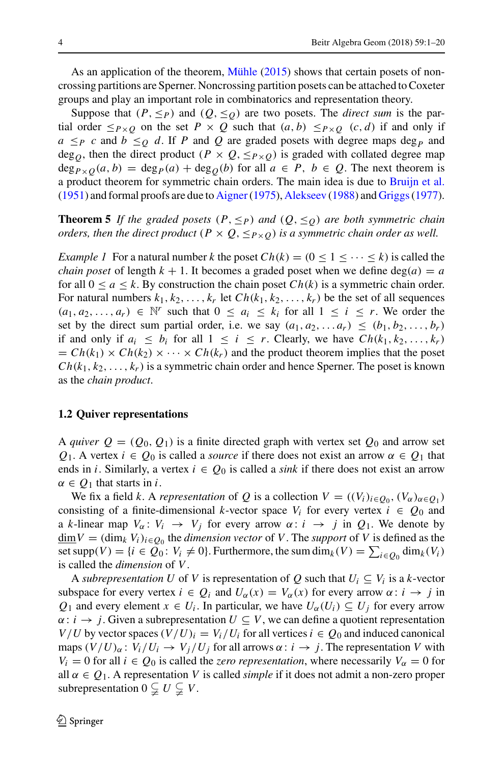<span id="page-4-0"></span>As an application of the theorem, [Mühle](#page-18-4) [\(2015](#page-18-4)) shows that certain posets of noncrossing partitions are Sperner. Noncrossing partition posets can be attached to Coxeter groups and play an important role in combinatorics and representation theory.

Suppose that  $(P, \leq_P)$  and  $(Q, \leq_Q)$  are two posets. The *direct sum* is the partial order  $\leq_{P\times Q}$  on the set  $P\times Q$  such that  $(a, b) \leq_{P\times Q} (c, d)$  if and only if *a*  $\leq$ *P c* and *b*  $\leq$ *Q d*. If *P* and *Q* are graded posets with degree maps deg<sub>*P*</sub> and deg<sub>O</sub>, then the direct product ( $P \times Q$ ,  $\leq P \times Q$ ) is graded with collated degree map  $deg_{P \times Q}(a, b) = deg_P(a) + deg_Q(b)$  for all  $a \in P$ ,  $b \in Q$ . The next theorem is a product theorem for symmetric chain orders. The main idea is due to [Bruijn et al.](#page-18-5) [\(1951\)](#page-18-5) and formal proofs are due to [Aigner\(1975\)](#page-18-6), [Alekseev](#page-18-7) [\(1988\)](#page-18-7) and [Griggs\(1977](#page-18-8)).

**Theorem 5** If the graded posets  $(P, \leq_P)$  and  $(Q, \leq_Q)$  are both symmetric chain *orders, then the direct product*  $(P \times Q, \leq_{P \times Q})$  *is a symmetric chain order as well.* 

*Example 1* For a natural number *k* the poset  $Ch(k) = (0 \le 1 \le \cdots \le k)$  is called the *chain poset* of length  $k + 1$ . It becomes a graded poset when we define deg(*a*) = *a* for all  $0 \le a \le k$ . By construction the chain poset  $Ch(k)$  is a symmetric chain order. For natural numbers  $k_1, k_2, \ldots, k_r$  let  $Ch(k_1, k_2, \ldots, k_r)$  be the set of all sequences  $(a_1, a_2, \ldots, a_r) \in \mathbb{N}^r$  such that  $0 \le a_i \le k_i$  for all  $1 \le i \le r$ . We order the set by the direct sum partial order, i.e. we say  $(a_1, a_2, \ldots a_r) \leq (b_1, b_2, \ldots, b_r)$ if and only if  $a_i \leq b_i$  for all  $1 \leq i \leq r$ . Clearly, we have  $Ch(k_1, k_2, \ldots, k_r)$  $= Ch(k_1) \times Ch(k_2) \times \cdots \times Ch(k_r)$  and the product theorem implies that the poset  $Ch(k_1, k_2, \ldots, k_r)$  is a symmetric chain order and hence Sperner. The poset is known as the *chain product*.

#### **1.2 Quiver representations**

A *quiver*  $Q = (Q_0, Q_1)$  is a finite directed graph with vertex set  $Q_0$  and arrow set  $Q_1$ . A vertex  $i \in Q_0$  is called a *source* if there does not exist an arrow  $\alpha \in Q_1$  that ends in *i*. Similarly, a vertex  $i \in Q_0$  is called a *sink* if there does not exist an arrow  $\alpha \in Q_1$  that starts in *i*.

We fix a field *k*. A *representation* of *Q* is a collection  $V = ((V_i)_{i \in Q_0}, (V_\alpha)_{\alpha \in Q_1})$ consisting of a finite-dimensional *k*-vector space  $V_i$  for every vertex  $i \in Q_0$  and a *k*-linear map  $V_\alpha: V_i \to V_j$  for every arrow  $\alpha: i \to j$  in  $Q_1$ . We denote by  $\underline{\dim}V = (\dim_k V_i)_{i \in Q_0}$  the *dimension vector* of *V*. The *support* of *V* is defined as the set supp $(V) = \{i \in Q_0 : V_i \neq 0\}$ . Furthermore, the sum  $\dim_k(V) = \sum_{i \in Q_0} \dim_k(V_i)$ is called the *dimension* of *V*.

<span id="page-4-1"></span>A *subrepresentation* U of V is representation of Q such that  $U_i \subseteq V_i$  is a k-vector subspace for every vertex  $i \in Q_i$  and  $U_\alpha(x) = V_\alpha(x)$  for every arrow  $\alpha : i \to j$  in  $Q_1$  and every element *x* ∈ *U<sub>i</sub>*. In particular, we have  $U_α(U_i) ⊆ U_j$  for every arrow  $\alpha : i \rightarrow j$ . Given a subrepresentation  $U \subseteq V$ , we can define a quotient representation  $V/U$  by vector spaces  $(V/U)_i = V_i/U_i$  for all vertices  $i \in Q_0$  and induced canonical maps  $(V/U)_{\alpha}$ :  $V_i/U_i \rightarrow V_i/U_i$  for all arrows  $\alpha : i \rightarrow j$ . The representation *V* with  $V_i = 0$  for all  $i \in Q_0$  is called the *zero representation*, where necessarily  $V_\alpha = 0$  for all  $\alpha \in Q_1$ . A representation *V* is called *simple* if it does not admit a non-zero proper subrepresentation  $0 \subsetneqq U \subsetneqq V$ .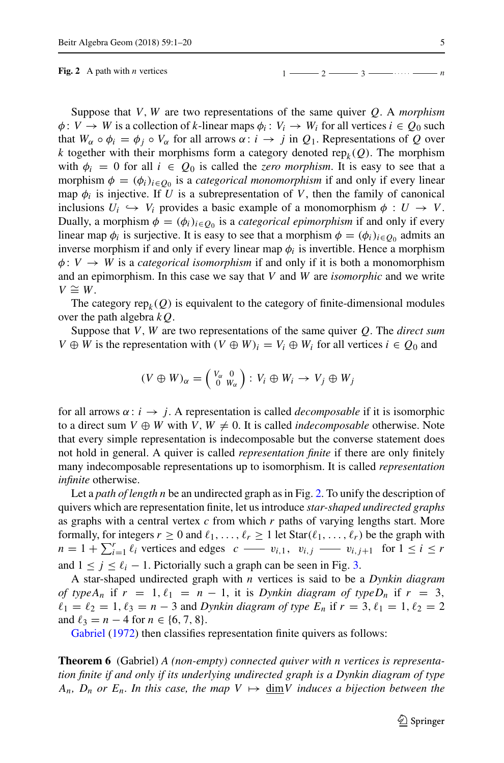**Fig. 2** A path with *n* vertices 1

$$
2 \longrightarrow 2 \longrightarrow 3 \longrightarrow 3 \longrightarrow n
$$

Suppose that *V*, *W* are two representations of the same quiver *Q*. A *morphism*  $\phi: V \to W$  is a collection of *k*-linear maps  $\phi_i: V_i \to W_i$  for all vertices  $i \in Q_0$  such that  $W_\alpha \circ \phi_i = \phi_i \circ V_\alpha$  for all arrows  $\alpha : i \to j$  in  $Q_1$ . Representations of Q over *k* together with their morphisms form a category denoted  $\text{rep}_k(Q)$ . The morphism with  $\phi_i = 0$  for all  $i \in Q_0$  is called the *zero morphism*. It is easy to see that a morphism  $\phi = (\phi_i)_{i \in Q_0}$  is a *categorical monomorphism* if and only if every linear map  $\phi_i$  is injective. If U is a subrepresentation of V, then the family of canonical inclusions  $U_i \hookrightarrow V_i$  provides a basic example of a monomorphism  $\phi : U \to V$ . Dually, a morphism  $\phi = (\phi_i)_{i \in Q_0}$  is a *categorical epimorphism* if and only if every linear map  $\phi_i$  is surjective. It is easy to see that a morphism  $\phi = (\phi_i)_{i \in Q_0}$  admits an inverse morphism if and only if every linear map  $\phi_i$  is invertible. Hence a morphism  $\phi: V \to W$  is a *categorical isomorphism* if and only if it is both a monomorphism and an epimorphism. In this case we say that *V* and *W* are *isomorphic* and we write  $V \cong W$ .

<span id="page-5-1"></span><span id="page-5-0"></span>The category  $\text{rep}_k(Q)$  is equivalent to the category of finite-dimensional modules over the path algebra *k Q*.

Suppose that *V*, *W* are two representations of the same quiver *Q*. The *direct sum*  $V \oplus W$  is the representation with  $(V \oplus W)_i = V_i \oplus W_i$  for all vertices  $i \in Q_0$  and

$$
(V \oplus W)_{\alpha} = \left(\begin{smallmatrix} V_{\alpha} & 0 \\ 0 & W_{\alpha} \end{smallmatrix}\right) : V_i \oplus W_i \to V_j \oplus W_j
$$

for all arrows  $\alpha : i \rightarrow j$ . A representation is called *decomposable* if it is isomorphic to a direct sum  $V \oplus W$  with  $V, W \neq 0$ . It is called *indecomposable* otherwise. Note that every simple representation is indecomposable but the converse statement does not hold in general. A quiver is called *representation finite* if there are only finitely many indecomposable representations up to isomorphism. It is called *representation infinite* otherwise.

<span id="page-5-2"></span>Let a *path of length n* be an undirected graph as in Fig. [2.](#page-4-0) To unify the description of quivers which are representation finite, let us introduce *star-shaped undirected graphs* as graphs with a central vertex *c* from which *r* paths of varying lengths start. More formally, for integers  $r \ge 0$  and  $\ell_1, \ldots, \ell_r \ge 1$  let  $\text{Star}(\ell_1, \ldots, \ell_r)$  be the graph with  $n = 1 + \sum_{i=1}^{r} \ell_i$  vertices and edges  $c \longrightarrow v_{i,1}, v_{i,j} \longrightarrow v_{i,j+1}$  for  $1 \le i \le r$ and  $1 \le j \le \ell_i - 1$ . Pictorially such a graph can be seen in Fig. [3.](#page-5-0)

A star-shaped undirected graph with *n* vertices is said to be a *Dynkin diagram of typeA<sub>n</sub>* if  $r = 1, \ell_1 = n - 1$ , it is *Dynkin diagram of typeD<sub>n</sub>* if  $r = 3$ ,  $\ell_1 = \ell_2 = 1, \ell_3 = n - 3$  and *Dynkin diagram of type*  $E_n$  if  $r = 3, \ell_1 = 1, \ell_2 = 2$ [and](#page-18-9)  $\ell_3 = n - 4$  for  $n \in \{6, 7, 8\}$ .

Gabriel [\(1972\)](#page-18-9) then classifies representation finite quivers as follows:

**Theorem 6** (Gabriel) *A (non-empty) connected quiver with n vertices is representation finite if and only if its underlying undirected graph is a Dynkin diagram of type*  $A_n$ ,  $D_n$  *or*  $E_n$ . In this case, the map  $V \mapsto \dim V$  induces a bijection between the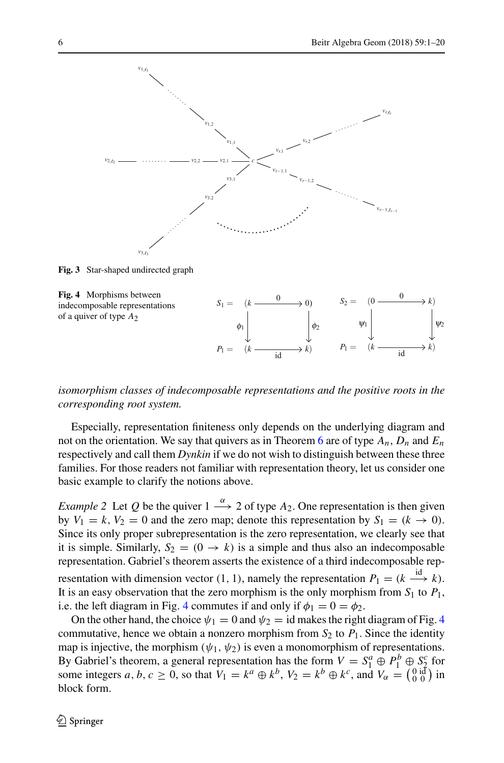

**Fig. 3** Star-shaped undirected graph



#### *isomorphism classes of indecomposable representations and the positive roots in the corresponding root system.*

Especially, representation finiteness only depends on the underlying diagram and not on the orientation. We say that quivers as in Theorem [6](#page-4-1) are of type  $A_n$ ,  $D_n$  and  $E_n$ respectively and call them *Dynkin* if we do not wish to distinguish between these three families. For those readers not familiar with representation theory, let us consider one basic example to clarify the notions above.

*Example 2* Let *Q* be the quiver  $1 \stackrel{\alpha}{\longrightarrow} 2$  of type  $A_2$ . One representation is then given by  $V_1 = k$ ,  $V_2 = 0$  and the zero map; denote this representation by  $S_1 = (k \rightarrow 0)$ . Since its only proper subrepresentation is the zero representation, we clearly see that it is simple. Similarly,  $S_2 = (0 \rightarrow k)$  is a simple and thus also an indecomposable representation. Gabriel's theorem asserts the existence of a third indecomposable representation with dimension vector (1, 1), namely the representation  $P_1 = (k \stackrel{\text{id}}{\longrightarrow} k)$ . It is an easy observation that the zero morphism is the only morphism from  $S_1$  to  $P_1$ , i.e. the left diagram in Fig. [4](#page-5-1) commutes if and only if  $\phi_1 = 0 = \phi_2$ .

<span id="page-6-0"></span>On the other hand, the choice  $\psi_1 = 0$  and  $\psi_2 = id$  makes the right diagram of Fig. [4](#page-5-1) commutative, hence we obtain a nonzero morphism from  $S_2$  to  $P_1$ . Since the identity map is injective, the morphism  $(\psi_1, \psi_2)$  is even a monomorphism of representations. By Gabriel's theorem, a general representation has the form  $V = S_1^a \oplus P_1^b \oplus S_2^c$  for some integers  $a, b, c \ge 0$ , so that  $V_1 = k^a \oplus k^b$ ,  $V_2 = k^b \oplus k^c$ , and  $V_\alpha = \begin{pmatrix} 0 & \mathrm{i} \bar{d} \\ 0 & 0 \end{pmatrix}$  in block form.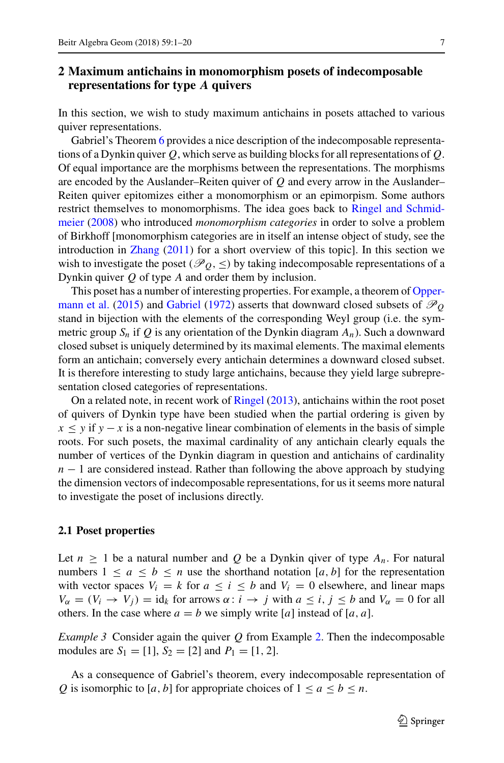#### **2 Maximum antichains in monomorphism posets of indecomposable representations for type** *A* **quivers**

<span id="page-7-0"></span>In this section, we wish to study maximum antichains in posets attached to various quiver representations.

<span id="page-7-1"></span>Gabriel's Theorem [6](#page-4-1) provides a nice description of the indecomposable representations of a Dynkin quiver *Q*, which serve as building blocks for all representations of *Q*. Of equal importance are the morphisms between the representations. The morphisms are encoded by the Auslander–Reiten quiver of *Q* and every arrow in the Auslander– Reiten quiver epitomizes either a monomorphism or an epimorpism. Some authors restri[ct themselves to monomorphisms. The idea goes back to](#page-18-10) Ringel and Schmidmeier [\(2008](#page-18-10)) who introduced *monomorphism categories* in order to solve a problem of Birkhoff [monomorphism categories are in itself an intense object of study, see the introduction in [Zhang](#page-19-0) [\(2011\)](#page-19-0) for a short overview of this topic]. In this section we wish to investigate the poset ( $\mathcal{P}_0$ ,  $\leq$ ) by taking indecomposable representations of a Dynkin quiver *Q* of type *A* and order them by inclusion.

This pos[et has a number of interesting properties. For example, a theorem of](#page-18-11) Opper-mann et al. [\(2015\)](#page-18-11) and [Gabriel](#page-18-9) [\(1972](#page-18-9)) asserts that downward closed subsets of  $\mathcal{P}_O$ stand in bijection with the elements of the corresponding Weyl group (i.e. the symmetric group  $S_n$  if Q is any orientation of the Dynkin diagram  $A_n$ ). Such a downward closed subset is uniquely determined by its maximal elements. The maximal elements form an antichain; conversely every antichain determines a downward closed subset. It is therefore interesting to study large antichains, because they yield large subrepresentation closed categories of representations.

<span id="page-7-2"></span>On a related note, in recent work of [Ringel](#page-18-12) [\(2013](#page-18-12)), antichains within the root poset of quivers of Dynkin type have been studied when the partial ordering is given by  $x \leq y$  if  $y - x$  is a non-negative linear combination of elements in the basis of simple roots. For such posets, the maximal cardinality of any antichain clearly equals the number of vertices of the Dynkin diagram in question and antichains of cardinality *n* − 1 are considered instead. Rather than following the above approach by studying the dimension vectors of indecomposable representations, for us it seems more natural to investigate the poset of inclusions directly.

#### <span id="page-7-4"></span>**2.1 Poset properties**

Let  $n \geq 1$  be a natural number and Q be a Dynkin qiver of type  $A_n$ . For natural numbers  $1 \le a \le b \le n$  use the shorthand notation [a, b] for the representation with vector spaces  $V_i = k$  for  $a \le i \le b$  and  $V_i = 0$  elsewhere, and linear maps  $V_{\alpha} = (V_i \rightarrow V_j) = id_k$  for arrows  $\alpha : i \rightarrow j$  with  $a \le i, j \le b$  and  $V_{\alpha} = 0$  for all others. In the case where  $a = b$  we simply write [*a*] instead of [*a*, *a*].

*Example 3* Consider again the quiver *Q* from Example [2.](#page-5-2) Then the indecomposable modules are  $S_1 = [1]$ ,  $S_2 = [2]$  and  $P_1 = [1, 2]$ .

<span id="page-7-3"></span>As a consequence of Gabriel's theorem, every indecomposable representation of *Q* is isomorphic to [*a*, *b*] for appropriate choices of  $1 \le a \le b \le n$ .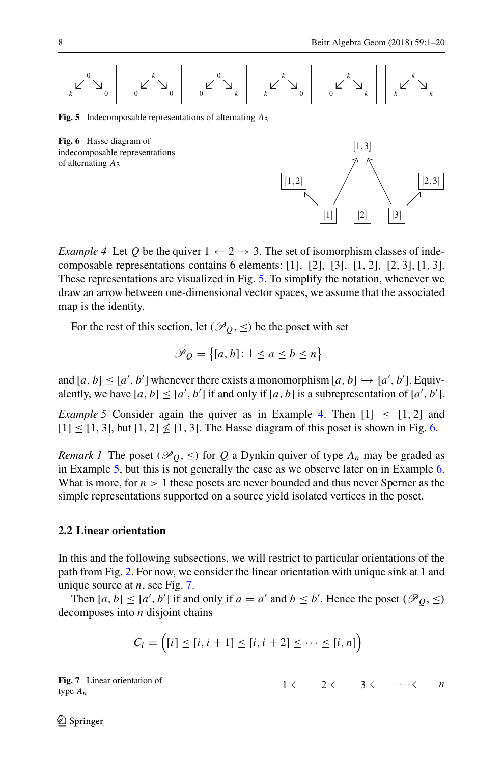

**Fig. 5** Indecomposable representations of alternating *A*3





<span id="page-8-0"></span>*Example 4* Let Q be the quiver  $1 \leftarrow 2 \rightarrow 3$ . The set of isomorphism classes of indecomposable representations contains 6 elements: [1], [2], [3], [1, 2], [2, 3],[1, 3]. These representations are visualized in Fig. [5.](#page-7-0) To simplify the notation, whenever we draw an arrow between one-dimensional vector spaces, we assume that the associated map is the identity.

<span id="page-8-2"></span>For the rest of this section, let  $(\mathcal{P}_0, \leq)$  be the poset with set

$$
\mathcal{P}_Q = \{ [a, b] \colon 1 \le a \le b \le n \}
$$

and  $[a, b] \leq [a', b']$  whenever there exists a monomorphism  $[a, b] \hookrightarrow [a', b']$ . Equivalently, we have  $[a, b] \leq [a', b']$  if and only if  $[a, b]$  is a subrepresentation of  $[a', b']$ .

<span id="page-8-1"></span>*Example 5* Consider again the quiver as in Example [4.](#page-6-0) Then  $[1] \leq [1, 2]$  and  $[1] \leq [1, 3]$ , but  $[1, 2] \nleq [1, 3]$ . The Hasse diagram of this poset is shown in Fig. [6.](#page-7-1)

*Remark 1* The poset ( $\mathcal{P}_0$ ,  $\leq$ ) for *Q* a Dynkin quiver of type  $A_n$  may be graded as in Example [5,](#page-7-2) but this is not generally the case as we observe later on in Example [6.](#page-9-0) What is more, for  $n > 1$  these posets are never bounded and thus never Sperner as the simple representations supported on a source yield isolated vertices in the poset.

#### **2.2 Linear orientation**

In this and the following subsections, we will restrict to particular orientations of the path from Fig. [2.](#page-4-0) For now, we consider the linear orientation with unique sink at 1 and unique source at *n*, see Fig. [7.](#page-7-3)

Then  $[a, b] \leq [a', b']$  if and only if  $a = a'$  and  $b \leq b'$ . Hence the poset  $(\mathcal{P}_Q, \leq)$ decomposes into *n* disjoint chains

$$
C_i = \bigg( [i] \leq [i, i+1] \leq [i, i+2] \leq \cdots \leq [i, n] \bigg)
$$

**Fig. 7** Linear orientation of type *An*

 $1 \longleftarrow 2 \longleftarrow 3 \longleftarrow n$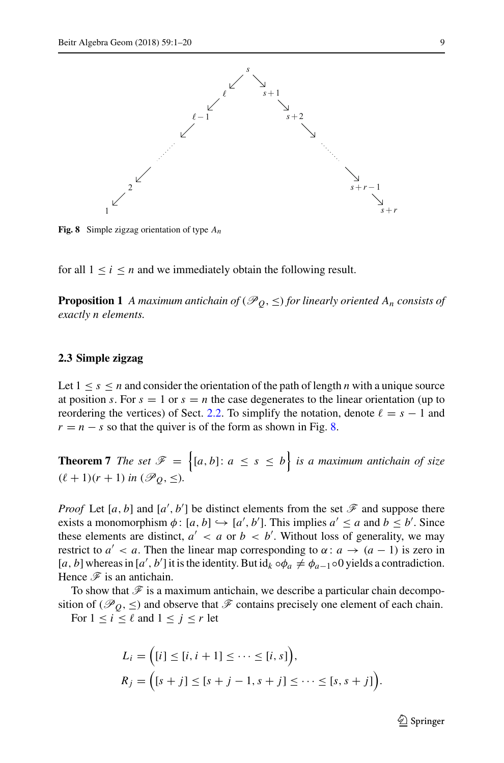

**Fig. 8** Simple zigzag orientation of type *An*

for all  $1 \le i \le n$  and we immediately obtain the following result.

**Proposition 1** *A maximum antichain of* ( $\mathcal{P}_O$ ,  $\leq$ ) *for linearly oriented A<sub>n</sub> consists of exactly n elements.*

#### **2.3 Simple zigzag**

<span id="page-9-2"></span>Let  $1 \leq s \leq n$  and consider the orientation of the path of length *n* with a unique source at position *s*. For  $s = 1$  or  $s = n$  the case degenerates to the linear orientation (up to reordering the vertices) of Sect. [2.2.](#page-7-4) To simplify the notation, denote  $\ell = s - 1$  and  $r = n - s$  so that the quiver is of the form as shown in Fig. [8.](#page-8-0)

<span id="page-9-1"></span>**Theorem 7** *The set*  $\mathscr{F} = \{[a,b]: a \leq s \leq b\}$  is a maximum antichain of size  $(\ell + 1)(r + 1)$  *in*  $(\mathscr{P}_0, \leq)$ *.* 

*Proof* Let [a, b] and [a', b'] be distinct elements from the set  $\mathcal{F}$  and suppose there exists a monomorphism  $\phi$ :  $[a, b] \hookrightarrow [a', b']$ . This implies  $a' \le a$  and  $b \le b'$ . Since these elements are distinct,  $a' < a$  or  $b < b'$ . Without loss of generality, we may restrict to  $a' < a$ . Then the linear map corresponding to  $\alpha : a \to (a - 1)$  is zero in [a, b] whereas in [a', b'] it is the identity. But id<sub>k</sub>  $\circ \phi_a \neq \phi_{a-1} \circ 0$  yields a contradiction. Hence  $\mathscr F$  is an antichain.

<span id="page-9-0"></span>To show that  $\mathscr F$  is a maximum antichain, we describe a particular chain decomposition of ( $\mathcal{P}_0$ ,  $\leq$ ) and observe that  $\mathcal F$  contains precisely one element of each chain.

<span id="page-9-3"></span>For  $1 \le i \le \ell$  and  $1 \le j \le r$  let

$$
L_i = ( [i] \leq [i, i+1] \leq \cdots \leq [i, s] ),
$$
  
\n
$$
R_j = ( [s+j] \leq [s+j-1, s+j] \leq \cdots \leq [s, s+j] ).
$$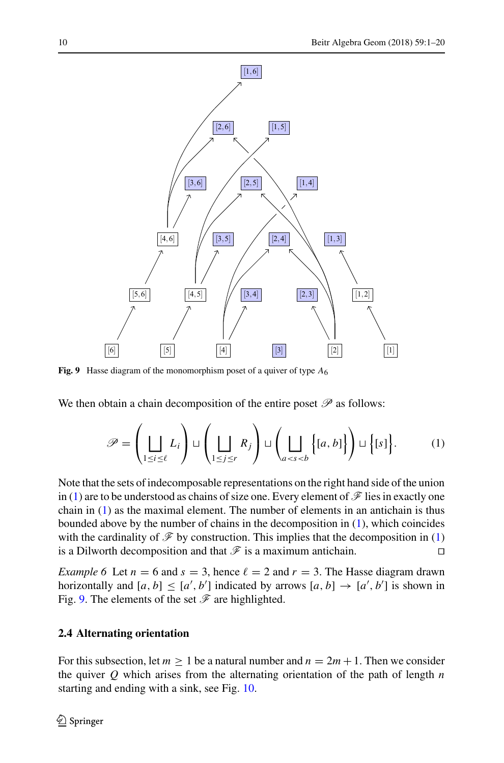<span id="page-10-1"></span><span id="page-10-0"></span>

**Fig. 9** Hasse diagram of the monomorphism poset of a quiver of type *A*6

We then obtain a chain decomposition of the entire poset  $\mathscr P$  as follows:

$$
\mathscr{P} = \left(\bigsqcup_{1 \le i \le \ell} L_i\right) \sqcup \left(\bigsqcup_{1 \le j \le r} R_j\right) \sqcup \left(\bigsqcup_{a < s < b} \left\{ [a, b] \right\} \right) \sqcup \left\{ [s] \right\}.
$$
 (1)

Note that the sets of indecomposable representations on the right hand side of the union in [\(1\)](#page-9-1) are to be understood as chains of size one. Every element of  $\mathscr F$  lies in exactly one chain in [\(1\)](#page-9-1) as the maximal element. The number of elements in an antichain is thus bounded above by the number of chains in the decomposition in [\(1\)](#page-9-1), which coincides with the cardinality of  $\mathcal F$  by construction. This implies that the decomposition in [\(1\)](#page-9-1) is a Dilworth decomposition and that  $\mathscr F$  is a maximum antichain. □

*Example 6* Let  $n = 6$  and  $s = 3$ , hence  $\ell = 2$  and  $r = 3$ . The Hasse diagram drawn horizontally and  $[a, b] \leq [a', b']$  indicated by arrows  $[a, b] \rightarrow [a', b']$  is shown in Fig. [9.](#page-9-2) The elements of the set  $\mathscr F$  are highlighted.

#### **2.4 Alternating orientation**

For this subsection, let  $m \geq 1$  be a natural number and  $n = 2m + 1$ . Then we consider the quiver *Q* which arises from the alternating orientation of the path of length *n* starting and ending with a sink, see Fig. [10.](#page-10-0)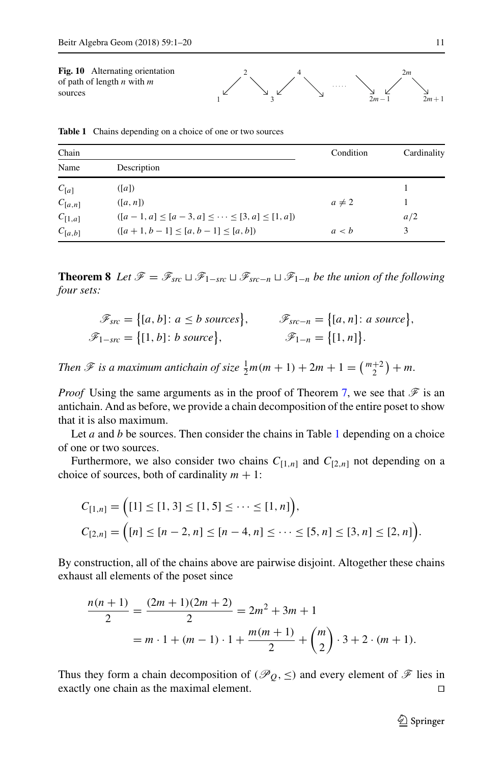



**Table 1** Chains depending on a choice of one or two sources

| Chain       |                                                    | Condition  | Cardinality |
|-------------|----------------------------------------------------|------------|-------------|
| Name        | Description                                        |            |             |
| $C_{[a]}$   | ([a])                                              |            |             |
| $C_{[a,n]}$ | ([a, n])                                           | $a \neq 2$ |             |
| $C_{[1,a]}$ | $([a-1, a] < [a-3, a] < \cdots < [3, a] < [1, a])$ |            | a/2         |
| $C_{[a,b]}$ | $([a + 1, b - 1] \leq [a, b - 1] \leq [a, b])$     | a < b      | 3           |

**Theorem 8** *Let*  $\mathcal{F} = \mathcal{F}_{src} \sqcup \mathcal{F}_{1-src} \sqcup \mathcal{F}_{src-n} \sqcup \mathcal{F}_{1-n}$  *be the union of the following four sets:*

$$
\mathscr{F}_{src} = \{ [a, b] : a \le b \text{ sources} \}, \qquad \mathscr{F}_{src-n} = \{ [a, n] : a \text{ source} \}, \qquad \mathscr{F}_{1-src} = \{ [1, b] : b \text{ source} \}, \qquad \mathscr{F}_{1-n} = \{ [1, n] \}.
$$

*Then*  $\mathscr{F}$  *is a maximum antichain of size*  $\frac{1}{2}m(m+1) + 2m + 1 = \binom{m+2}{2} + m$ .

<span id="page-11-0"></span>*Proof* Using the same arguments as in the proof of Theorem [7,](#page-8-1) we see that  $\mathscr F$  is an antichain. And as before, we provide a chain decomposition of the entire poset to show that it is also maximum.

Let *a* and *b* be sources. Then consider the chains in Table [1](#page-10-1) depending on a choice of one or two sources.

Furthermore, we also consider two chains  $C_{[1,n]}$  and  $C_{[2,n]}$  not depending on a choice of sources, both of cardinality  $m + 1$ :

$$
C_{[1,n]} = (1] \leq [1,3] \leq [1,5] \leq \cdots \leq [1,n]),
$$
  
\n
$$
C_{[2,n]} = (n] \leq [n-2,n] \leq [n-4,n] \leq \cdots \leq [5,n] \leq [3,n] \leq [2,n].
$$

By construction, all of the chains above are pairwise disjoint. Altogether these chains exhaust all elements of the poset since

$$
\frac{n(n+1)}{2} = \frac{(2m+1)(2m+2)}{2} = 2m^2 + 3m + 1
$$
  
=  $m \cdot 1 + (m-1) \cdot 1 + \frac{m(m+1)}{2} + {m \choose 2} \cdot 3 + 2 \cdot (m+1).$ 

Thus they form a chain decomposition of ( $\mathcal{P}_0$ ,  $\leq$ ) and every element of  $\mathcal F$  lies in exactly one chain as the maximal element. □

 $\mathcal{D}$  Springer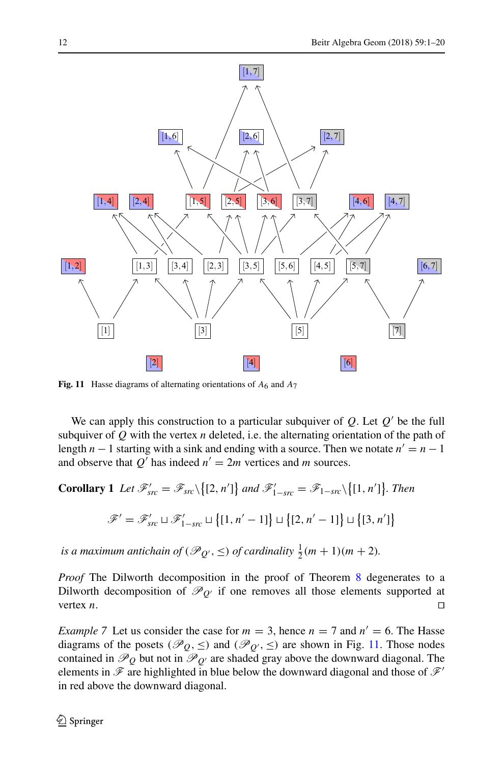

<span id="page-12-1"></span>**Fig. 11** Hasse diagrams of alternating orientations of  $A_6$  and  $A_7$ 

We can apply this construction to a particular subquiver of  $Q$ . Let  $Q'$  be the full subquiver of *Q* with the vertex *n* deleted, i.e. the alternating orientation of the path of length  $n-1$  starting with a sink and ending with a source. Then we notate  $n' = n - 1$ and observe that  $Q'$  has indeed  $n' = 2m$  vertices and *m* sources.

Corollary 1 Let 
$$
\mathscr{F}'_{src} = \mathscr{F}_{src} \setminus \{[2, n']\}
$$
 and  $\mathscr{F}'_{1-src} = \mathscr{F}_{1-src} \setminus \{[1, n']\}$ . Then  

$$
\mathscr{F}' = \mathscr{F}'_{src} \sqcup \mathscr{F}'_{1-src} \sqcup \{[1, n' - 1]\} \sqcup \{[2, n' - 1]\} \sqcup \{[3, n']\}
$$

*is a maximum antichain of* ( $\mathscr{P}_{Q'}$ ,  $\leq$ ) *of cardinality*  $\frac{1}{2}(m + 1)(m + 2)$ *.* 

*Proof* The Dilworth decomposition in the proof of Theorem [8](#page-9-3) degenerates to a Dilworth decomposition of  $\mathcal{P}_{Q'}$  if one removes all those elements supported at vertex *n*.  $□$ 

<span id="page-12-0"></span>*Example* 7 Let us consider the case for  $m = 3$ , hence  $n = 7$  and  $n' = 6$ . The Hasse diagrams of the posets ( $\mathcal{P}_0$ ,  $\leq$ ) and ( $\mathcal{P}_{0'}$ ,  $\leq$ ) are shown in Fig. [11.](#page-11-0) Those nodes contained in  $\mathcal{P}_0$  but not in  $\mathcal{P}_{0'}$  are shaded gray above the downward diagonal. The elements in  $\mathscr F$  are highlighted in blue below the downward diagonal and those of  $\mathscr F'$ in red above the downward diagonal.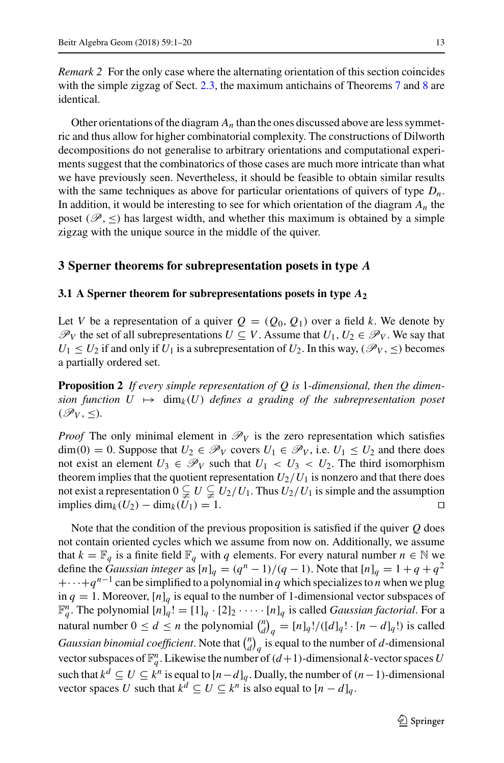*Remark 2* For the only case where the alternating orientation of this section coincides with the simple zigzag of Sect. [2.3,](#page-8-2) the maximum antichains of Theorems [7](#page-8-1) and [8](#page-9-3) are identical.

Other orientations of the diagram  $A_n$  than the ones discussed above are less symmetric and thus allow for higher combinatorial complexity. The constructions of Dilworth decompositions do not generalise to arbitrary orientations and computational experiments suggest that the combinatorics of those cases are much more intricate than what we have previously seen. Nevertheless, it should be feasible to obtain similar results with the same techniques as above for particular orientations of quivers of type  $D_n$ . In addition, it would be interesting to see for which orientation of the diagram *A<sup>n</sup>* the poset ( $\mathcal{P}, \leq$ ) has largest width, and whether this maximum is obtained by a simple zigzag with the unique source in the middle of the quiver.

#### **3 Sperner theorems for subrepresentation posets in type** *A*

#### **3.1 A Sperner theorem for subrepresentations posets in type** *A***<sup>2</sup>**

<span id="page-13-0"></span>Let *V* be a representation of a quiver  $Q = (Q_0, Q_1)$  over a field *k*. We denote by  $\mathscr{P}_V$  the set of all subrepresentations  $U \subseteq V$ . Assume that  $U_1, U_2 \in \mathscr{P}_V$ . We say that  $U_1 \leq U_2$  if and only if  $U_1$  is a subrepresentation of  $U_2$ . In this way,  $(\mathscr{P}_V, \leq)$  becomes a partially ordered set.

**Proposition 2** *If every simple representation of Q is* 1*-dimensional, then the dimension function*  $U \mapsto \dim_k(U)$  *defines a grading of the subrepresentation poset*  $(\mathscr{P}_V, \leq)$ .

*Proof* The only minimal element in  $\mathcal{P}_V$  is the zero representation which satisfies dim(0) = 0. Suppose that  $U_2$  ∈  $\mathcal{P}_V$  covers  $U_1$  ∈  $\mathcal{P}_V$ , i.e.  $U_1$  ≤  $U_2$  and there does not exist an element  $U_3 \in \mathcal{P}_V$  such that  $U_1 \lt U_3 \lt U_2$ . The third isomorphism theorem implies that the quotient representation  $U_2/U_1$  is nonzero and that there does not exist a representation  $0 \subsetneqq U \subsetneqq U_2/U_1$ . Thus  $U_2/U_1$  is simple and the assumption  $implies \dim_k(U_2) - \dim_k(U_1) = 1.$  □

Note that the condition of the previous proposition is satisfied if the quiver *Q* does not contain oriented cycles which we assume from now on. Additionally, we assume that  $k = \mathbb{F}_q$  is a finite field  $\mathbb{F}_q$  with q elements. For every natural number  $n \in \mathbb{N}$  we define the *Gaussian integer* as  $[n]_q = (q^n - 1)/(q - 1)$ . Note that  $[n]_q = 1 + q + q^2$ +···+*q n*−1 can be simplified to a polynomial in *q* which specializes to *n* when we plug in  $q = 1$ . Moreover,  $[n]_q$  is equal to the number of 1-dimensional vector subspaces of  $\mathbb{F}_q^n$ . The polynomial  $[n]_q! = [1]_q \cdot [2]_2 \cdot \cdots \cdot [n]_q$  is called *Gaussian factorial*. For a natural number  $0 \le d \le n$  the polynomial  $\binom{n}{d}$  $\binom{n}{d}_q = [n]_q! / ([d]_q! \cdot [n - d]_q!)$  is called *Gaussian binomial coefficient*. Note that  $\binom{n}{d}$  $\binom{n}{d}_q$  is equal to the number of *d*-dimensional vector subspaces of  $\mathbb{F}_q^n$ . Likewise the number of  $(d+1)$ -dimensional *k*-vector spaces *U* such that  $k^d \subseteq U \subseteq k^n$  is equal to  $[n-d]_q$ . Dually, the number of  $(n-1)$ -dimensional vector spaces *U* such that  $k^d \subseteq U \subseteq k^n$  is also equal to  $[n - d]_q$ .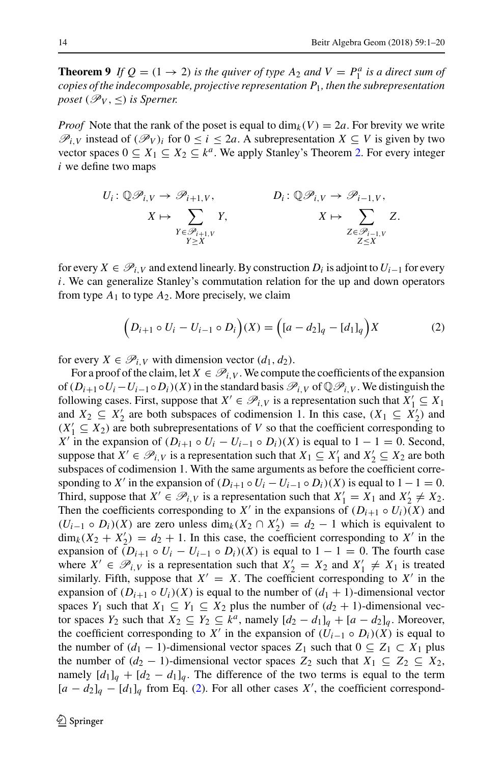**Theorem 9** *If*  $Q = (1 \rightarrow 2)$  *is the quiver of type*  $A_2$  *and*  $V = P_1^a$  *is a direct sum of copies of the indecomposable, projective representation P*1*, then the subrepresentation poset* ( $\mathcal{P}_V$ ,  $\leq$ ) *is Sperner.* 

*Proof* Note that the rank of the poset is equal to  $\dim_k(V) = 2a$ . For brevity we write  $\mathcal{P}_{i,V}$  instead of  $(\mathcal{P}_V)_i$  for  $0 \le i \le 2a$ . A subrepresentation  $X \subseteq V$  is given by two vector spaces  $0 \subseteq X_1 \subseteq X_2 \subseteq k^a$ . We apply Stanley's Theorem [2.](#page-1-0) For every integer *i* we define two maps

$$
U_i: \mathbb{Q}\mathscr{P}_{i,V} \to \mathscr{P}_{i+1,V},
$$
  
\n
$$
X \mapsto \sum_{\substack{Y \in \mathscr{P}_{i+1,V} \\ Y \ge X}} Y,
$$
  
\n
$$
D_i: \mathbb{Q}\mathscr{P}_{i,V} \to \mathscr{P}_{i-1,V},
$$
  
\n
$$
X \mapsto \sum_{\substack{Z \in \mathscr{P}_{i-1,V} \\ Z \le X}} Z.
$$

for every  $X \in \mathcal{P}_{i,V}$  and extend linearly. By construction  $D_i$  is adjoint to  $U_{i-1}$  for every *i*. We can generalize Stanley's commutation relation for the up and down operators from type  $A_1$  to type  $A_2$ . More precisely, we claim

$$
(D_{i+1} \circ U_i - U_{i-1} \circ D_i)(X) = ( [a - d_2]_q - [d_1]_q )X \tag{2}
$$

<span id="page-14-0"></span>for every  $X \in \mathcal{P}_{i,V}$  with dimension vector  $(d_1, d_2)$ .

For a proof of the claim, let  $X \in \mathcal{P}_{i,V}$ . We compute the coefficients of the expansion of  $(D_{i+1} \circ U_i - U_{i-1} \circ D_i)(X)$  in the standard basis  $\mathcal{P}_{i,V}$  of  $\mathbb{Q} \mathcal{P}_{i,V}$ . We distinguish the following cases. First, suppose that  $X' \in \mathcal{P}_{i,V}$  is a representation such that  $X'_1 \subseteq X_1$ and  $X_2 \subseteq X'_2$  are both subspaces of codimension 1. In this case,  $(X_1 \subseteq X'_2)$  and  $(X'_1 \subseteq X_2)$  are both subrepresentations of *V* so that the coefficient corresponding to *X*<sup> $\prime$ </sup> in the expansion of  $(D_{i+1} \circ U_i - U_{i-1} \circ D_i)(X)$  is equal to  $1 - 1 = 0$ . Second, suppose that  $X' \in \mathcal{P}_{i,V}$  is a representation such that  $X_1 \subseteq X'_1$  and  $X'_2 \subseteq X_2$  are both subspaces of codimension 1. With the same arguments as before the coefficient corresponding to *X'* in the expansion of  $(D_{i+1} \circ U_i - U_{i-1} \circ D_i)(X)$  is equal to  $1 - 1 = 0$ . Third, suppose that  $X' \in \mathcal{P}_{i,V}$  is a representation such that  $X'_1 = X_1$  and  $X'_2 \neq X_2$ . Then the coefficients corresponding to *X'* in the expansions of  $(D_{i+1} \circ U_i)(X)$  and  $(U<sub>i-1</sub> ∘ D<sub>i</sub>)(X)$  are zero unless dim<sub>*k*</sub> (*X*<sub>2</sub> ∩ *X*<sup>'</sup><sub>2</sub>) = *d*<sub>2</sub> − 1 which is equivalent to  $\dim_k(X_2 + X_2') = d_2 + 1$ . In this case, the coefficient corresponding to X' in the expansion of  $(D_{i+1} \circ U_i - U_{i-1} \circ D_i)(X)$  is equal to  $1 - 1 = 0$ . The fourth case where  $X' \in \mathcal{P}_{i,V}$  is a representation such that  $X'_2 = X_2$  and  $X'_1 \neq X_1$  is treated similarly. Fifth, suppose that  $X' = X$ . The coefficient corresponding to  $X'$  in the expansion of  $(D_{i+1} \circ U_i)(X)$  is equal to the number of  $(d_1 + 1)$ -dimensional vector spaces *Y*<sub>1</sub> such that  $X_1 \subseteq Y_1 \subseteq X_2$  plus the number of  $(d_2 + 1)$ -dimensional vector spaces *Y*<sub>2</sub> such that  $X_2 \subseteq Y_2 \subseteq k^a$ , namely  $[d_2 - d_1]_q + [a - d_2]_q$ . Moreover, the coefficient corresponding to *X'* in the expansion of  $(\hat{U}_{i-1} \circ D_i)(\hat{X})$  is equal to the number of  $(d_1 - 1)$ -dimensional vector spaces  $Z_1$  such that  $0 \subseteq Z_1 \subset X_1$  plus the number of  $(d_2 - 1)$ -dimensional vector spaces  $Z_2$  such that  $X_1 \subseteq Z_2 \subseteq X_2$ , namely  $[d_1]_q + [d_2 - d_1]_q$ . The difference of the two terms is equal to the term  $[a - d_2]_q$  –  $[d_1]_q$  from Eq. [\(2\)](#page-13-0). For all other cases *X'*, the coefficient correspond-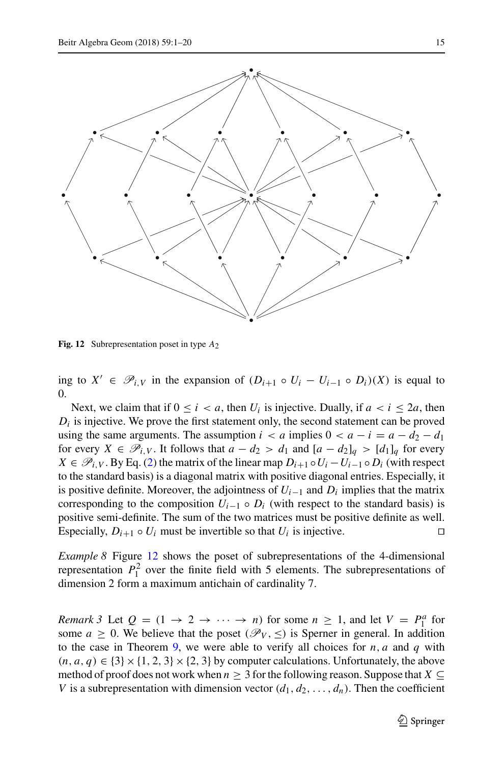

**Fig. 12** Subrepresentation poset in type  $A_2$ 

ing to  $X' \in \mathcal{P}_{i,V}$  in the expansion of  $(D_{i+1} \circ U_i - U_{i-1} \circ D_i)(X)$  is equal to  $\theta$ .

Next, we claim that if  $0 \le i < a$ , then  $U_i$  is injective. Dually, if  $a < i \le 2a$ , then  $D_i$  is injective. We prove the first statement only, the second statement can be proved using the same arguments. The assumption  $i < a$  implies  $0 < a - i = a - d_2 - d_1$ for every  $X \in \mathcal{P}_{i,V}$ . It follows that  $a - d_2 > d_1$  and  $[a - d_2]_q > [d_1]_q$  for every  $X \in \mathcal{P}_{i,V}$ . By Eq. [\(2\)](#page-13-0) the matrix of the linear map  $D_{i+1} \circ U_i - U_{i-1} \circ D_i$  (with respect to the standard basis) is a diagonal matrix with positive diagonal entries. Especially, it is positive definite. Moreover, the adjointness of *Ui*−<sup>1</sup> and *D<sup>i</sup>* implies that the matrix corresponding to the composition  $U_{i-1} \circ D_i$  (with respect to the standard basis) is positive semi-definite. The sum of the two matrices must be positive definite as well. Especially,  $D_{i+1} \circ U_i$  must be invertible so that  $U_i$  is injective. □

*Example 8* Figure [12](#page-14-0) shows the poset of subrepresentations of the 4-dimensional representation  $P_1^2$  over the finite field with 5 elements. The subrepresentations of dimension 2 form a maximum antichain of cardinality 7.

*Remark 3* Let  $Q = (1 \rightarrow 2 \rightarrow \cdots \rightarrow n)$  for some  $n \ge 1$ , and let  $V = P_1^a$  for some  $a \geq 0$ . We believe that the poset ( $\mathcal{P}_V$ ,  $\leq$ ) is Sperner in general. In addition to the case in Theorem [9,](#page-12-0) we were able to verify all choices for  $n, a$  and  $q$  with  $(n, a, q) \in \{3\} \times \{1, 2, 3\} \times \{2, 3\}$  by computer calculations. Unfortunately, the above method of proof does not work when  $n \geq 3$  for the following reason. Suppose that  $X \subseteq$ *V* is a subrepresentation with dimension vector  $(d_1, d_2, \ldots, d_n)$ . Then the coefficient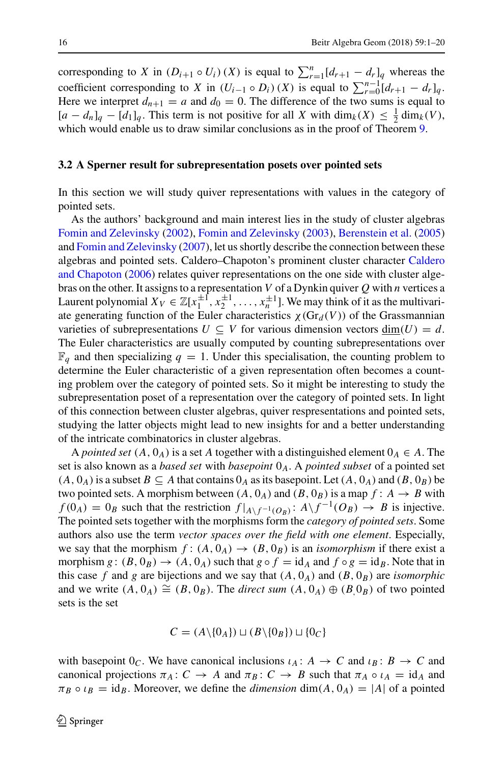<span id="page-16-1"></span>corresponding to *X* in  $(D_{i+1} \circ U_i)(X)$  is equal to  $\sum_{r=1}^{n} [d_{r+1} - d_r]_q$  whereas the coefficient corresponding to *X* in  $(U_{i-1} \circ D_i)(X)$  is equal to  $\sum_{r=0}^{n-1} [d_{r+1} - d_r]_q$ . Here we interpret  $d_{n+1} = a$  and  $d_0 = 0$ . The difference of the two sums is equal to  $[a - d_n]_q - [d_1]_q$ . This term is not positive for all *X* with dim<sub>*k*</sub>(*X*)  $\leq \frac{1}{2}$  dim<sub>*k*</sub>(*V*), which would enable us to draw similar conclusions as in the proof of Theorem [9.](#page-12-0)

#### **3.2 A Sperner result for subrepresentation posets over pointed sets**

In this section we will study quiver representations with values in the category of pointed sets.

As the authors' background and main interest lies in the study of cluster algebras [Fomin and Zelevinsky](#page-18-13) [\(2002\)](#page-18-13), [Fomin and Zelevinsky](#page-18-14) [\(2003](#page-18-14)), [Berenstein et al.](#page-18-15) [\(2005\)](#page-18-15) and [Fomin and Zelevinsky](#page-18-16) [\(2007](#page-18-16)), let us shortly describe the connection between these algebras and [pointed sets. Caldero–Chapoton's prominent cluster character](#page-18-17) Caldero and Chapoton [\(2006](#page-18-17)) relates quiver representations on the one side with cluster algebras on the other. It assigns to a representation *V* of a Dynkin quiver *Q* with *n* vertices a Laurent polynomial  $X_V \in \mathbb{Z}[x_1^{\pm 1}, x_2^{\pm 1}, \dots, x_n^{\pm 1}]$ . We may think of it as the multivariate generating function of the Euler characteristics  $\chi(\text{Gr}_d(V))$  of the Grassmannian varieties of subrepresentations  $U \subseteq V$  for various dimension vectors dim( $U$ ) = d. The Euler characteristics are usually computed by counting subrepresentations over  $\mathbb{F}_q$  and then specializing  $q = 1$ . Under this specialisation, the counting problem to determine the Euler characteristic of a given representation often becomes a counting problem over the category of pointed sets. So it might be interesting to study the subrepresentation poset of a representation over the category of pointed sets. In light of this connection between cluster algebras, quiver respresentations and pointed sets, studying the latter objects might lead to new insights for and a better understanding of the intricate combinatorics in cluster algebras.

A *pointed set*  $(A, 0_A)$  is a set *A* together with a distinguished element  $0_A \in A$ . The set is also known as a *based set* with *basepoint* 0*A*. A *pointed subset* of a pointed set  $(A, 0_A)$  is a subset  $B \subseteq A$  that contains  $0_A$  as its basepoint. Let  $(A, 0_A)$  and  $(B, 0_B)$  be two pointed sets. A morphism between  $(A, 0_A)$  and  $(B, 0_B)$  is a map  $f : A \rightarrow B$  with  $f(0_A) = 0_B$  such that the restriction  $f|_{A \setminus f^{-1}(O_B)}$ :  $A \setminus f^{-1}(O_B) \to B$  is injective. The pointed sets together with the morphisms form the *category of pointed sets*. Some authors also use the term *vector spaces over the field with one element*. Especially, we say that the morphism  $f: (A, 0_A) \rightarrow (B, 0_B)$  is an *isomorphism* if there exist a morphism  $g : (B, 0_B) \to (A, 0_A)$  such that  $g \circ f = id_A$  and  $f \circ g = id_B$ . Note that in this case *f* and *g* are bijections and we say that  $(A, 0_A)$  and  $(B, 0_B)$  are *isomorphic* and we write  $(A, 0_A) \cong (B, 0_B)$ . The *direct sum*  $(A, 0_A) \oplus (B, 0_B)$  of two pointed sets is the set

$$
C = (A \setminus \{0_A\}) \sqcup (B \setminus \{0_B\}) \sqcup \{0_C\}
$$

<span id="page-16-0"></span>with basepoint  $0_C$ . We have canonical inclusions  $\iota_A : A \to C$  and  $\iota_B : B \to C$  and canonical projections  $\pi_A : C \to A$  and  $\pi_B : C \to B$  such that  $\pi_A \circ \iota_A = id_A$  and  $\pi_B \circ \iota_B = \text{id}_B$ . Moreover, we define the *dimension* dim $(A, 0_A) = |A|$  of a pointed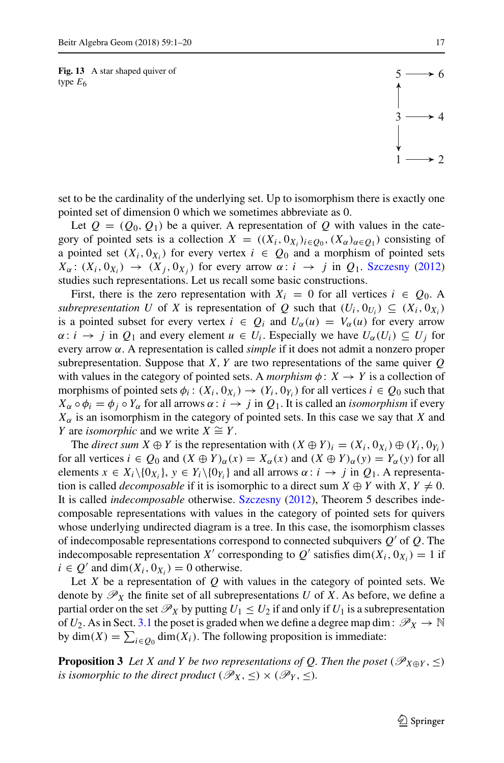**Fig. 13** A star shaped quiver of type  $E_6$ 



set to be the cardinality of the underlying set. Up to isomorphism there is exactly one pointed set of dimension 0 which we sometimes abbreviate as 0.

Let  $Q = (Q_0, Q_1)$  be a quiver. A representation of Q with values in the category of pointed sets is a collection  $X = ((X_i, 0_{X_i})_{i \in Q_0}, (X_\alpha)_{\alpha \in Q_1})$  consisting of a pointed set  $(X_i, 0_{X_i})$  for every vertex  $i \in Q_0$  and a morphism of pointed sets  $X_{\alpha}$ :  $(X_i, 0_{X_i}) \rightarrow (X_j, 0_{X_j})$  for every arrow  $\alpha$ :  $i \rightarrow j$  in  $Q_1$ . [Szczesny](#page-18-18) [\(2012\)](#page-18-18) studies such representations. Let us recall some basic constructions.

First, there is the zero representation with  $X_i = 0$  for all vertices  $i \in Q_0$ . A *subrepresentation U* of *X* is representation of *Q* such that  $(U_i, 0_{U_i}) \subseteq (X_i, 0_{X_i})$ is a pointed subset for every vertex  $i \in Q_i$  and  $U_\alpha(u) = V_\alpha(u)$  for every arrow  $\alpha : i \to j$  in  $Q_1$  and every element  $u \in U_i$ . Especially we have  $U_{\alpha}(U_i) \subseteq U_j$  for every arrow α. A representation is called *simple* if it does not admit a nonzero proper subrepresentation. Suppose that *X*, *Y* are two representations of the same quiver *Q* with values in the category of pointed sets. A *morphism*  $\phi: X \to Y$  is a collection of morphisms of pointed sets  $\phi_i$ :  $(X_i, 0_{X_i}) \to (Y_i, 0_{Y_i})$  for all vertices  $i \in Q_0$  such that  $X_\alpha \circ \phi_i = \phi_j \circ Y_\alpha$  for all arrows  $\alpha : i \to j$  in  $Q_1$ . It is called an *isomorphism* if every  $X_{\alpha}$  is an isomorphism in the category of pointed sets. In this case we say that *X* and *Y* are *isomorphic* and we write  $X \cong Y$ .

<span id="page-17-0"></span>The *direct sum*  $X \oplus Y$  is the representation with  $(X \oplus Y)_i = (X_i, 0_{X_i}) \oplus (Y_i, 0_{Y_i})$ for all vertices  $i \in Q_0$  and  $(X \oplus Y)_{\alpha}(x) = X_{\alpha}(x)$  and  $(X \oplus Y)_{\alpha}(y) = Y_{\alpha}(y)$  for all elements  $x \in X_i \setminus \{0_{X_i}\}, y \in Y_i \setminus \{0_{Y_i}\}$  and all arrows  $\alpha : i \to j$  in  $Q_1$ . A representation is called *decomposable* if it is isomorphic to a direct sum  $X \oplus Y$  with  $X, Y \neq 0$ . It is called *indecomposable* otherwise. [Szczesny](#page-18-18) [\(2012\)](#page-18-18), Theorem 5 describes indecomposable representations with values in the category of pointed sets for quivers whose underlying undirected diagram is a tree. In this case, the isomorphism classes of indecomposable representations correspond to connected subquivers *Q* ′ of *Q*. The indecomposable representation *X'* corresponding to  $Q'$  satisfies dim( $X_i$ ,  $0_{X_i}$ ) = 1 if  $i \in Q'$  and dim $(X_i, 0_{X_i}) = 0$  otherwise.

Let  $X$  be a representation of  $Q$  with values in the category of pointed sets. We denote by  $\mathscr{P}_X$  the finite set of all subrepresentations *U* of *X*. As before, we define a partial order on the set  $\mathcal{P}_X$  by putting  $U_1 \leq U_2$  if and only if  $U_1$  is a subrepresentation of  $U_2$ . As in Sect. [3.1](#page-12-1) the poset is graded when we define a degree map dim:  $\mathscr{P}_X \to \mathbb{N}$ by  $\dim(X) = \sum_{i \in Q_0} \dim(X_i)$ . The following proposition is immediate:

**Proposition 3** *Let X and Y be two representations of Q. Then the poset* ( $\mathscr{P}_{X \oplus Y}$ ,  $\leq$ ) *is isomorphic to the direct product* ( $\mathscr{P}_X$ ,  $\leq$ )  $\times$  ( $\mathscr{P}_Y$ ,  $\leq$ ).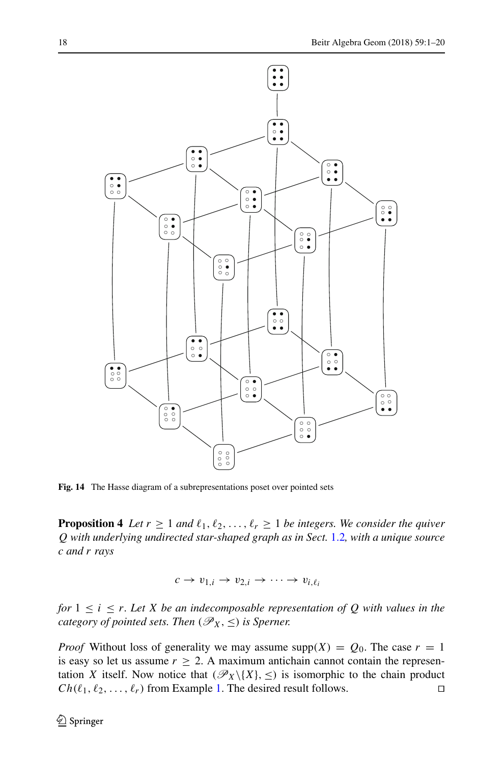

<span id="page-18-17"></span><span id="page-18-15"></span><span id="page-18-14"></span><span id="page-18-13"></span><span id="page-18-7"></span><span id="page-18-6"></span><span id="page-18-5"></span><span id="page-18-3"></span><span id="page-18-2"></span>**Fig. 14** The Hasse diagram of a subrepresentations poset over pointed sets

<span id="page-18-16"></span><span id="page-18-9"></span><span id="page-18-8"></span>**Proposition 4** *Let*  $r \geq 1$  *and*  $\ell_1, \ell_2, \ldots, \ell_r \geq 1$  *be integers. We consider the quiver Q with underlying undirected star-shaped graph as in Sect.* [1.2](#page-3-0)*, with a unique source c and r rays*

 $c \rightarrow v_{1,i} \rightarrow v_{2,i} \rightarrow \cdots \rightarrow v_{i,\ell_i}$ 

<span id="page-18-12"></span><span id="page-18-11"></span><span id="page-18-10"></span><span id="page-18-4"></span>*for*  $1 \leq i \leq r$ . Let X be an indecomposable representation of Q with values in the *category of pointed sets. Then* ( $\mathscr{P}_X$ ,  $\leq$ ) *is Sperner.* 

<span id="page-18-18"></span><span id="page-18-1"></span><span id="page-18-0"></span>*Proof* Without loss of generality we may assume supp $(X) = Q_0$ . The case  $r = 1$ is easy so let us assume  $r \geq 2$ . A maximum antichain cannot contain the representation *X* itself. Now notice that  $(\mathscr{P}_X \setminus \{X\}, \leq)$  is isomorphic to the chain product  $Ch(\ell_1, \ell_2, \ldots, \ell_r)$  from Example [1.](#page-3-1) The desired result follows. □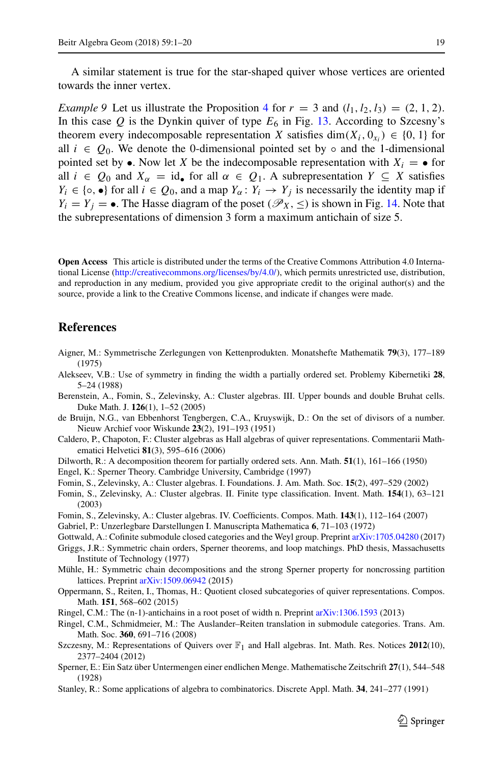<span id="page-19-0"></span>A similar statement is true for the star-shaped quiver whose vertices are oriented towards the inner vertex.

*Example 9* Let us illustrate the Proposition [4](#page-16-0) for  $r = 3$  and  $(l_1, l_2, l_3) = (2, 1, 2)$ . In this case  $Q$  is the Dynkin quiver of type  $E_6$  in Fig. [13.](#page-16-1) According to Szcesny's theorem every indecomposable representation *X* satisfies  $\dim(X_i, 0_{x_i}) \in \{0, 1\}$  for all  $i \in Q_0$ . We denote the 0-dimensional pointed set by  $\circ$  and the 1-dimensional pointed set by  $\bullet$ . Now let *X* be the indecomposable representation with  $X_i = \bullet$  for all  $i \in Q_0$  and  $X_\alpha = id_\bullet$  for all  $\alpha \in Q_1$ . A subrepresentation  $Y \subseteq X$  satisfies *Y*<sub>*i*</sub> ∈ { $\circ$ ,  $\bullet$ } for all *i* ∈ *Q*<sub>0</sub>, and a map *Y*<sub>α</sub> : *Y*<sub>*i*</sub> → *Y*<sub>*j*</sub> is necessarily the identity map if  $Y_i = Y_j = \bullet$ . The Hasse diagram of the poset ( $\mathcal{P}_X$ ,  $\leq$ ) is shown in Fig. [14.](#page-17-0) Note that the subrepresentations of dimension 3 form a maximum antichain of size 5.

**Open Access** This article is distributed under the terms of the Creative Commons Attribution 4.0 International License [\(http://creativecommons.org/licenses/by/4.0/\)](http://creativecommons.org/licenses/by/4.0/), which permits unrestricted use, distribution, and reproduction in any medium, provided you give appropriate credit to the original author(s) and the source, provide a link to the Creative Commons license, and indicate if changes were made.

#### **References**

- Aigner, M.: Symmetrische Zerlegungen von Kettenprodukten. Monatshefte Mathematik **79**(3), 177–189 (1975)
- Alekseev, V.B.: Use of symmetry in finding the width a partially ordered set. Problemy Kibernetiki **28**, 5–24 (1988)
- Berenstein, A., Fomin, S., Zelevinsky, A.: Cluster algebras. III. Upper bounds and double Bruhat cells. Duke Math. J. **126**(1), 1–52 (2005)
- de Bruijn, N.G., van Ebbenhorst Tengbergen, C.A., Kruyswijk, D.: On the set of divisors of a number. Nieuw Archief voor Wiskunde **23**(2), 191–193 (1951)
- Caldero, P., Chapoton, F.: Cluster algebras as Hall algebras of quiver representations. Commentarii Mathematici Helvetici **81**(3), 595–616 (2006)
- Dilworth, R.: A decomposition theorem for partially ordered sets. Ann. Math. **51**(1), 161–166 (1950)
- Engel, K.: Sperner Theory. Cambridge University, Cambridge (1997)
- Fomin, S., Zelevinsky, A.: Cluster algebras. I. Foundations. J. Am. Math. Soc. **15**(2), 497–529 (2002)
- Fomin, S., Zelevinsky, A.: Cluster algebras. II. Finite type classification. Invent. Math. **154**(1), 63–121 (2003)
- Fomin, S., Zelevinsky, A.: Cluster algebras. IV. Coefficients. Compos. Math. **143**(1), 112–164 (2007)
- Gabriel, P.: Unzerlegbare Darstellungen I. Manuscripta Mathematica **6**, 71–103 (1972)
- Gottwald, A.: Cofinite submodule closed categories and the Weyl group. Preprint [arXiv:1705.04280](http://arxiv.org/abs/1705.04280) (2017)
- Griggs, J.R.: Symmetric chain orders, Sperner theorems, and loop matchings. PhD thesis, Massachusetts Institute of Technology (1977)
- Mühle, H.: Symmetric chain decompositions and the strong Sperner property for noncrossing partition lattices. Preprint [arXiv:1509.06942](http://arxiv.org/abs/1509.06942) (2015)
- Oppermann, S., Reiten, I., Thomas, H.: Quotient closed subcategories of quiver representations. Compos. Math. **151**, 568–602 (2015)
- Ringel, C.M.: The (n-1)-antichains in a root poset of width n. Preprint [arXiv:1306.1593](http://arxiv.org/abs/1306.1593) (2013)
- Ringel, C.M., Schmidmeier, M.: The Auslander–Reiten translation in submodule categories. Trans. Am. Math. Soc. **360**, 691–716 (2008)
- Szczesny, M.: Representations of Quivers over  $\mathbb{F}_1$  and Hall algebras. Int. Math. Res. Notices **2012**(10), 2377–2404 (2012)
- Sperner, E.: Ein Satz über Untermengen einer endlichen Menge. Mathematische Zeitschrift **27**(1), 544–548 (1928)
- Stanley, R.: Some applications of algebra to combinatorics. Discrete Appl. Math. **34**, 241–277 (1991)